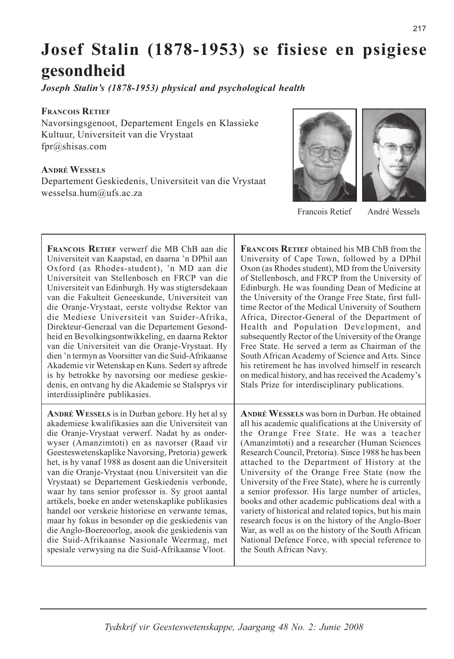# Josef Stalin (1878-1953) se fisiese en psigiese gesondheid

Joseph Stalin's (1878-1953) physical and psychological health

### **FRANCOIS RETIEF**

Navorsingsgenoot, Departement Engels en Klassieke Kultuur, Universiteit van die Vrystaat  $fpr@shisas.com$ 

### **ANDRÉ WESSELS**

Departement Geskiedenis, Universiteit van die Vrystaat wesselsa.hum@ufs.ac.za





Francois Retief

André Wessels

| <b>FRANCOIS RETIEF verwerf die MB ChB aan die</b>                                                                                                                                                                                                    | <b>FRANCO</b>                                    |
|------------------------------------------------------------------------------------------------------------------------------------------------------------------------------------------------------------------------------------------------------|--------------------------------------------------|
| Universiteit van Kaapstad, en daarna 'n DPhil aan                                                                                                                                                                                                    | Universi                                         |
| Oxford (as Rhodes-student), 'n MD aan die                                                                                                                                                                                                            | $Oxon$ (as                                       |
| Universiteit van Stellenbosch en FRCP van die                                                                                                                                                                                                        | of Steller                                       |
| Universiteit van Edinburgh. Hy was stigtersdekaan                                                                                                                                                                                                    | Edinburg                                         |
| van die Fakulteit Geneeskunde, Universiteit van                                                                                                                                                                                                      | the Univ                                         |
| die Oranje-Vrystaat, eerste voltydse Rektor van                                                                                                                                                                                                      | time Rec                                         |
| die Mediese Universiteit van Suider-Afrika,                                                                                                                                                                                                          | Africa, 1                                        |
| Direkteur-Generaal van die Departement Gesond-                                                                                                                                                                                                       | Health                                           |
| heid en Bevolkingsontwikkeling, en daarna Rektor                                                                                                                                                                                                     | subseque                                         |
| van die Universiteit van die Oranje-Vrystaat. Hy                                                                                                                                                                                                     | Free Stat                                        |
| dien 'n termyn as Voorsitter van die Suid-Afrikaanse<br>Akademie vir Wetenskap en Kuns. Sedert sy aftrede<br>is hy betrokke by navorsing oor mediese geskie-<br>denis, en ontvang hy die Akademie se Stalsprys vir<br>interdissiplinêre publikasies. | South Af<br>his retire<br>on medic<br>Stals Pri: |
| <b>ANDRÉ WESSELS</b> is in Durban gebore. Hy het al sy                                                                                                                                                                                               | <b>ANDRÉ</b> V                                   |
| akademiese kwalifikasies aan die Universiteit van                                                                                                                                                                                                    | all his ac                                       |
| die Oranje-Vrystaat verwerf. Nadat hy as onder-                                                                                                                                                                                                      | the Ora                                          |
| wyser (Amanzimtoti) en as navorser (Raad vir                                                                                                                                                                                                         | (Amanzi:                                         |
| Geesteswetenskaplike Navorsing, Pretoria) gewerk                                                                                                                                                                                                     | Research                                         |
| het, is hy vanaf 1988 as dosent aan die Universiteit                                                                                                                                                                                                 | attached                                         |
| van die Oranje-Vrystaat (nou Universiteit van die                                                                                                                                                                                                    | Universi                                         |
| Vrystaat) se Departement Geskiedenis verbonde,                                                                                                                                                                                                       | Universi                                         |
|                                                                                                                                                                                                                                                      |                                                  |

waar hy tans senior professor is. Sy groot aantal artikels, boeke en ander wetenskaplike publikasies

handel oor verskeie historiese en verwante temas,

maar hy fokus in besonder op die geskiedenis van

die Anglo-Boereoorlog, asook die geskiedenis van

die Suid-Afrikaanse Nasionale Weermag, met spesiale verwysing na die Suid-Afrikaanse Vloot.

 $\overline{\text{B}}$  RETIEF obtained his MR ChR from the ty of Cape Town, followed by a DPhil Rhodes student), MD from the University nbosch, and FRCP from the University of h. He was founding Dean of Medicine at ersity of the Orange Free State, first fulltor of the Medical University of Southern Director-General of the Department of and Population Development, and Intly Rector of the University of the Orange te. He served a term as Chairman of the rican Academy of Science and Arts. Since ment he has involved himself in research al history, and has received the Academy's ze for interdisciplinary publications.

VESSELS was born in Durban. He obtained ademic qualifications at the University of nge Free State. He was a teacher mtoti) and a researcher (Human Sciences Council, Pretoria). Since 1988 he has been to the Department of History at the ity of the Orange Free State (now the University of the Free State), where he is currently a senior professor. His large number of articles, books and other academic publications deal with a variety of historical and related topics, but his main research focus is on the history of the Anglo-Boer War, as well as on the history of the South African National Defence Force, with special reference to the South African Navy.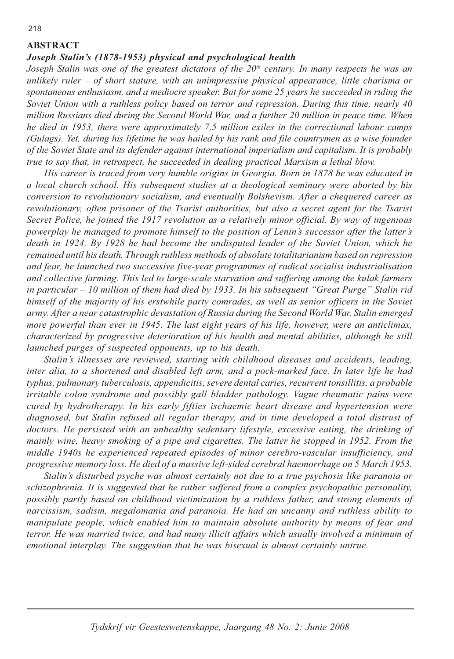### **ABSTRACT**

### Joseph Stalin's (1878-1953) physical and psychological health

Joseph Stalin was one of the greatest dictators of the  $20<sup>th</sup>$  century. In many respects he was an unlikely ruler  $-$  of short stature, with an unimpressive physical appearance, little charisma or spontaneous enthusiasm, and a mediocre speaker. But for some 25 years he succeeded in ruling the Soviet Union with a ruthless policy based on terror and repression. During this time, nearly 40 million Russians died during the Second World War, and a further 20 million in peace time. When he died in 1953, there were approximately 7,5 million exiles in the correctional labour camps (Gulags). Yet, during his lifetime he was hailed by his rank and file countrymen as a wise founder of the Soviet State and its defender against international imperialism and capitalism. It is probably true to say that, in retrospect, he succeeded in dealing practical Marxism a lethal blow.

His career is traced from very humble origins in Georgia. Born in 1878 he was educated in a local church school. His subsequent studies at a theological seminary were aborted by his conversion to revolutionary socialism, and eventually Bolshevism. After a chequered career as revolutionary, often prisoner of the Tsarist authorities, but also a secret agent for the Tsarist Secret Police, he joined the 1917 revolution as a relatively minor official. By way of ingenious powerplay he managed to promote himself to the position of Lenin's successor after the latter's death in 1924. By 1928 he had become the undisputed leader of the Soviet Union, which he remained until his death. Through ruthless methods of absolute totalitarianism based on repression and fear, he launched two successive five-year programmes of radical socialist industrialisation and collective farming. This led to large-scale starvation and suffering among the kulak farmers in particular - 10 million of them had died by 1933. In his subsequent "Great Purge" Stalin rid himself of the majority of his erstwhile party comrades, as well as senior officers in the Soviet army. After a near catastrophic devastation of Russia during the Second World War, Stalin emerged more powerful than ever in 1945. The last eight years of his life, however, were an anticlimax, characterized by progressive deterioration of his health and mental abilities, although he still launched purges of suspected opponents, up to his death.

Stalin's illnesses are reviewed, starting with childhood diseases and accidents, leading, inter alia, to a shortened and disabled left arm, and a pock-marked face. In later life he had typhus, pulmonary tuberculosis, appendicitis, severe dental caries, recurrent tonsillitis, a probable irritable colon syndrome and possibly gall bladder pathology. Vague rheumatic pains were cured by hydrotherapy. In his early fifties ischaemic heart disease and hypertension were diagnosed, but Stalin refused all regular therapy, and in time developed a total distrust of doctors. He persisted with an unhealthy sedentary lifestyle, excessive eating, the drinking of mainly wine, heavy smoking of a pipe and cigarettes. The latter he stopped in 1952. From the middle 1940s he experienced repeated episodes of minor cerebro-vascular insufficiency, and progressive memory loss. He died of a massive left-sided cerebral haemorrhage on 5 March 1953.

Stalin's disturbed psyche was almost certainly not due to a true psychosis like paranoia or schizophrenia. It is suggested that he rather suffered from a complex psychopathic personality, possibly partly based on childhood victimization by a ruthless father, and strong elements of narcissism, sadism, megalomania and paranoia. He had an uncanny and ruthless ability to manipulate people, which enabled him to maintain absolute authority by means of fear and terror. He was married twice, and had many illicit affairs which usually involved a minimum of emotional interplay. The suggestion that he was bisexual is almost certainly untrue.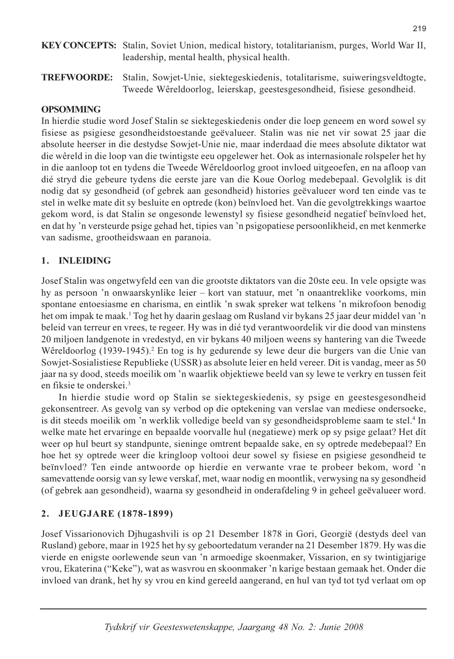- **KEY CONCEPTS:** Stalin, Soviet Union, medical history, totalitarianism, purges, World War II, leadership, mental health, physical health.
- Stalin, Sowjet-Unie, siektegeskiedenis, totalitarisme, suiweringsveldtogte, **TREFWOORDE:** Tweede Wêreldoorlog, leierskap, geestesgesondheid, fisiese gesondheid.

# **OPSOMMING**

In hierdie studie word Josef Stalin se siektegeskiedenis onder die loep geneem en word sowel sy fisiese as psigiese gesondheidstoestande geëvalueer. Stalin was nie net vir sowat 25 jaar die absolute heerser in die destydse Sowjet-Unie nie, maar inderdaad die mees absolute diktator wat die wêreld in die loop van die twintigste eeu opgelewer het. Ook as internasionale rolspeler het hy in die aanloop tot en tydens die Tweede Wêreldoorlog groot invloed uitgeoefen, en na afloop van dié stryd die gebeure tydens die eerste jare van die Koue Oorlog medebepaal. Gevolglik is dit nodig dat sy gesondheid (of gebrek aan gesondheid) histories geëvalueer word ten einde vas te stel in welke mate dit sy besluite en optrede (kon) beïnvloed het. Van die gevolgtrekkings waartoe gekom word, is dat Stalin se ongesonde lewenstyl sy fisiese gesondheid negatief beïnvloed het, en dat hy 'n versteurde psige gehad het, tipies van 'n psigopatiese persoonlikheid, en met kenmerke van sadisme, grootheidswaan en paranoia.

#### **INLEIDING** 1.

Josef Stalin was ongetwyfeld een van die grootste diktators van die 20ste eeu. In vele opsigte was hy as persoon 'n onwaarskynlike leier – kort van statuur, met 'n onaantreklike voorkoms, min spontane entoesiasme en charisma, en eintlik 'n swak spreker wat telkens 'n mikrofoon benodig het om impak te maak.<sup>1</sup> Tog het hy daarin geslaag om Rusland vir bykans 25 jaar deur middel van 'n beleid van terreur en vrees, te regeer. Hy was in dié tyd verantwoordelik vir die dood van minstens 20 miljoen landgenote in vredestyd, en vir bykans 40 miljoen weens sy hantering van die Tweede Wêreldoorlog (1939-1945).<sup>2</sup> En tog is hy gedurende sy lewe deur die burgers van die Unie van Sowjet-Sosialistiese Republieke (USSR) as absolute leier en held vereer. Dit is vandag, meer as 50 jaar na sy dood, steeds moeilik om 'n waarlik objektiewe beeld van sy lewe te verkry en tussen feit en fiksie te onderskei.<sup>3</sup>

In hierdie studie word op Stalin se siektegeskiedenis, sy psige en geestesgesondheid gekonsentreer. As gevolg van sy verbod op die optekening van verslae van mediese ondersoeke, is dit steeds moeilik om 'n werklik volledige beeld van sy gesondheidsprobleme saam te stel.<sup>4</sup> In welke mate het ervaringe en bepaalde voorvalle hul (negatiewe) merk op sy psige gelaat? Het dit weer op hul beurt sy standpunte, sieninge omtrent bepaalde sake, en sy optrede medebepaal? En hoe het sy optrede weer die kringloop voltooi deur sowel sy fisiese en psigiese gesondheid te beïnvloed? Ten einde antwoorde op hierdie en verwante vrae te probeer bekom, word 'n samevattende oorsig van sy lewe verskaf, met, waar nodig en moontlik, verwysing na sy gesondheid (of gebrek aan gesondheid), waarna sy gesondheid in onderafdeling 9 in geheel geëvalueer word.

#### **JEUGJARE (1878-1899)**  $2.$

Josef Vissarionovich Djhugashvili is op 21 Desember 1878 in Gori, Georgië (destyds deel van Rusland) gebore, maar in 1925 het hy sy geboortedatum verander na 21 Desember 1879. Hy was die vierde en enigste oorlewende seun van 'n armoedige skoenmaker, Vissarion, en sy twintigjarige vrou, Ekaterina ("Keke"), wat as wasvrou en skoonmaker 'n karige bestaan gemaak het. Onder die invloed van drank, het hy sy vrou en kind gereeld aangerand, en hul van tyd tot tyd verlaat om op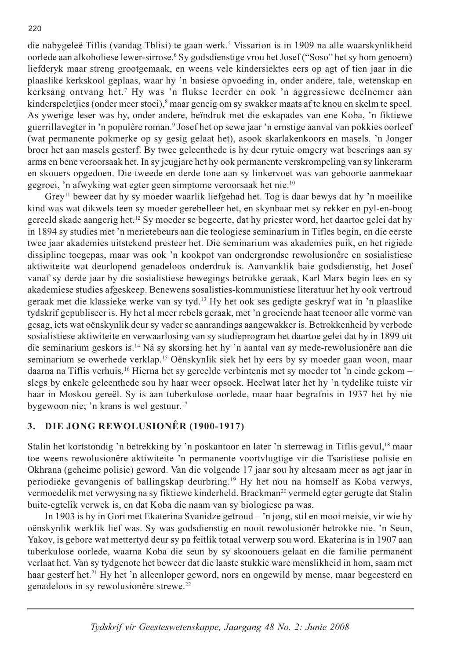die nabygeleë Tiflis (vandag Tblisi) te gaan werk.<sup>5</sup> Vissarion is in 1909 na alle waarskynlikheid oorlede aan alkoholiese lewer-sirrose.<sup>6</sup> Sy godsdienstige vrou het Josef ("Soso" het sy hom genoem) liefderyk maar streng grootgemaak, en weens vele kindersiektes eers op agt of tien jaar in die plaaslike kerkskool geplaas, waar hy 'n basiese opvoeding in, onder andere, tale, wetenskap en kerksang ontvang het.<sup>7</sup> Hy was 'n flukse leerder en ook 'n aggressiewe deelnemer aan kinderspeletjies (onder meer stoei),<sup>8</sup> maar geneig om sy swakker maats af te knou en skelm te speel. As ywerige leser was hy, onder andere, beïndruk met die eskapades van ene Koba, 'n fiktiewe guerrillavegter in 'n populêre roman.<sup>9</sup> Josef het op sewe jaar 'n ernstige aanval van pokkies oorleef (wat permanente pokmerke op sy gesig gelaat het), asook skarlakenkoors en masels. 'n Jonger broer het aan masels gesterf. By twee geleenthede is hy deur rytuie omgery wat beserings aan sy arms en bene veroorsaak het. In sy jeugjare het hy ook permanente verskrompeling van sy linkerarm en skouers opgedoen. Die tweede en derde tone aan sy linkervoet was van geboorte aanmekaar gegroei, 'n afwyking wat egter geen simptome veroorsaak het nie.<sup>10</sup>

Grey<sup>11</sup> beweer dat hy sy moeder waarlik liefgehad het. Tog is daar bewys dat hy 'n moeilike kind was wat dikwels teen sy moeder gerebelleer het, en skynbaar met sy rekker en pyl-en-boog gereeld skade aangerig het.<sup>12</sup> Sy moeder se begeerte, dat hy priester word, het daartoe gelei dat hy in 1894 sy studies met 'n merietebeurs aan die teologiese seminarium in Tifles begin, en die eerste twee jaar akademies uitstekend presteer het. Die seminarium was akademies puik, en het rigiede dissipline toegepas, maar was ook 'n kookpot van ondergrondse rewolusionêre en sosialistiese aktiwiteite wat deurlopend genadeloos onderdruk is. Aanvanklik baie godsdienstig, het Josef vanaf sy derde jaar by die sosialistiese bewegings betrokke geraak, Karl Marx begin lees en sy akademiese studies afgeskeep. Benewens sosalisties-kommunistiese literatuur het hy ook vertroud geraak met die klassieke werke van sy tyd.<sup>13</sup> Hy het ook ses gedigte geskryf wat in 'n plaaslike tydskrif gepubliseer is. Hy het al meer rebels geraak, met 'n groeiende haat teenoor alle vorme van gesag, iets wat oënskynlik deur sy vader se aanrandings aangewakker is. Betrokkenheid by verbode sosialistiese aktiwiteite en verwaarlosing van sy studieprogram het daartoe gelei dat hy in 1899 uit die seminarium geskors is.<sup>14</sup> Ná sy skorsing het hy 'n aantal van sy mede-rewolusionêre aan die seminarium se owerhede verklap.<sup>15</sup> Oënskynlik siek het hy eers by sy moeder gaan woon, maar daarna na Tiflis verhuis.<sup>16</sup> Hierna het sy gereelde verbintenis met sy moeder tot 'n einde gekom slegs by enkele geleenthede sou hy haar weer opsoek. Heelwat later het hy 'n tydelike tuiste vir haar in Moskou gereël. Sy is aan tuberkulose oorlede, maar haar begrafnis in 1937 het hy nie bygewoon nie; 'n krans is wel gestuur.<sup>17</sup>

#### DIE JONG REWOLUSIONÊR (1900-1917)  $3.$

Stalin het kortstondig 'n betrekking by 'n poskantoor en later 'n sterrewag in Tiflis gevul,<sup>18</sup> maar toe weens rewolusionêre aktiwiteite 'n permanente voortvlugtige vir die Tsaristiese polisie en Okhrana (geheime polisie) geword. Van die volgende 17 jaar sou hy altesaam meer as agt jaar in periodieke gevangenis of ballingskap deurbring.<sup>19</sup> Hy het nou na homself as Koba verwys, vermoedelik met verwysing na sy fiktiewe kinderheld. Brackman<sup>20</sup> vermeld egter gerugte dat Stalin buite-egtelik verwek is, en dat Koba die naam van sy biologiese pa was.

In 1903 is hy in Gori met Ekaterina Svanidze getroud  $-$  'n jong, stil en mooi meisie, vir wie hy oënskynlik werklik lief was. Sy was godsdienstig en nooit rewolusionêr betrokke nie. 'n Seun, Yakov, is gebore wat mettertyd deur sy pa feitlik totaal verwerp sou word. Ekaterina is in 1907 aan tuberkulose oorlede, waarna Koba die seun by sy skoonouers gelaat en die familie permanent verlaat het. Van sy tydgenote het beweer dat die laaste stukkie ware menslikheid in hom, saam met haar gesterf het.<sup>21</sup> Hy het 'n alleenloper geword, nors en ongewild by mense, maar begeesterd en genadeloos in sy rewolusionêre strewe.<sup>22</sup>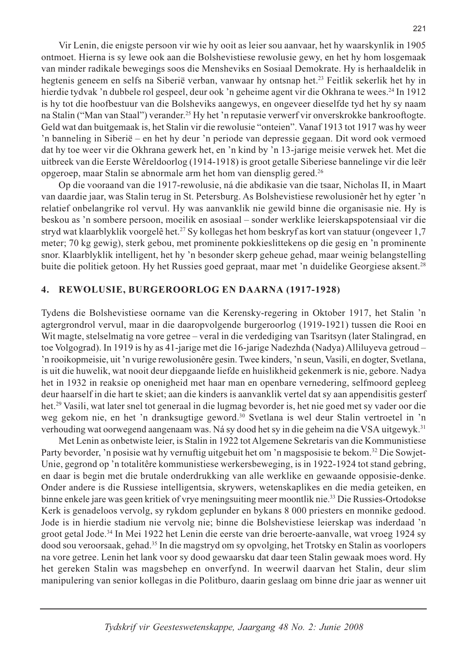Vir Lenin, die enigste persoon vir wie hy ooit as leier sou aanvaar, het hy waarskynlik in 1905 ontmoet. Hierna is sy lewe ook aan die Bolshevistiese rewolusie gewy, en het hy hom losgemaak van minder radikale bewegings soos die Mensheviks en Sosiaal Demokrate. Hy is herhaaldelik in hegtenis geneem en selfs na Siberië verban, vanwaar hy ontsnap het.<sup>23</sup> Feitlik sekerlik het hy in hierdie tydvak 'n dubbele rol gespeel, deur ook 'n geheime agent vir die Okhrana te wees.<sup>24</sup> In 1912 is hy tot die hoofbestuur van die Bolsheviks aangewys, en ongeveer dieselfde tyd het hy sy naam na Stalin ("Man van Staal") verander.<sup>25</sup> Hy het 'n reputasie verwerf vir onverskrokke bankrooftogte. Geld wat dan buitgemaak is, het Stalin vir die rewolusie "onteien". Vanaf 1913 tot 1917 was hy weer 'n banneling in Siberië – en het hy deur 'n periode van depressie gegaan. Dit word ook vermoed dat hy toe weer vir die Okhrana gewerk het, en 'n kind by 'n 13-jarige meisie verwek het. Met die uitbreek van die Eerste Wêreldoorlog (1914-1918) is groot getalle Siberiese bannelinge vir die leër opgeroep, maar Stalin se abnormale arm het hom van diensplig gered.<sup>26</sup>

Op die vooraand van die 1917-rewolusie, ná die abdikasie van die tsaar, Nicholas II, in Maart van daardie jaar, was Stalin terug in St. Petersburg. As Bolshevistiese rewolusionêr het hy egter 'n relatief onbelangrike rol vervul. Hy was aanvanklik nie gewild binne die organisasie nie. Hy is beskou as 'n sombere persoon, moeilik en asosiaal – sonder werklike leierskapspotensiaal vir die stryd wat klaarblyklik voorgelê het.<sup>27</sup> Sy kollegas het hom beskryf as kort van statuur (ongeveer 1,7 meter; 70 kg gewig), sterk gebou, met prominente pokkieslittekens op die gesig en 'n prominente snor. Klaarblyklik intelligent, het hy 'n besonder skerp geheue gehad, maar weinig belangstelling buite die politiek getoon. Hy het Russies goed gepraat, maar met 'n duidelike Georgiese aksent.<sup>28</sup>

#### $\boldsymbol{4}$ . REWOLUSIE, BURGEROORLOG EN DAARNA (1917-1928)

Tydens die Bolshevistiese oorname van die Kerensky-regering in Oktober 1917, het Stalin 'n agtergrondrol vervul, maar in die daaropvolgende burgeroorlog (1919-1921) tussen die Rooi en Wit magte, stelselmatig na vore getree - veral in die verdediging van Tsaritsyn (later Stalingrad, en toe Volgograd). In 1919 is hy as 41-jarige met die 16-jarige Nadezhda (Nadya) Alliluyeva getroud -'n rooikopmeisie, uit 'n vurige rewolusionêre gesin. Twee kinders, 'n seun, Vasili, en dogter, Svetlana, is uit die huwelik, wat nooit deur diepgaande liefde en huislikheid gekenmerk is nie, gebore. Nadya het in 1932 in reaksie op onenigheid met haar man en openbare vernedering, selfmoord gepleeg deur haarself in die hart te skiet; aan die kinders is aanvanklik vertel dat sy aan appendisitis gesterf het.<sup>29</sup> Vasili, wat later snel tot generaal in die lugmag bevorder is, het nie goed met sy vader oor die weg gekom nie, en het 'n dranksugtige geword.<sup>30</sup> Svetlana is wel deur Stalin vertroetel in 'n verhouding wat oorwegend aangenaam was. Ná sy dood het sy in die geheim na die VSA uitgewyk.<sup>31</sup>

Met Lenin as onbetwiste leier, is Stalin in 1922 tot Algemene Sekretaris van die Kommunistiese Party bevorder, 'n posisie wat hy vernuftig uitgebuit het om 'n magsposisie te bekom.<sup>32</sup> Die Sowjet-Unie, gegrond op 'n totalitêre kommunistiese werkersbeweging, is in 1922-1924 tot stand gebring, en daar is begin met die brutale onderdrukking van alle werklike en gewaande opposisie-denke. Onder andere is die Russiese intelligentsia, skrywers, wetenskaplikes en die media geteiken, en binne enkele jare was geen kritiek of vrye meningsuiting meer moontlik nie.<sup>33</sup> Die Russies-Ortodokse Kerk is genadeloos vervolg, sy rykdom geplunder en bykans 8 000 priesters en monnike gedood. Jode is in hierdie stadium nie vervolg nie; binne die Bolshevistiese leierskap was inderdaad 'n groot getal Jode.<sup>34</sup> In Mei 1922 het Lenin die eerste van drie beroerte-aanvalle, wat vroeg 1924 sy dood sou veroorsaak, gehad.<sup>35</sup> In die magstryd om sy opvolging, het Trotsky en Stalin as voorlopers na vore getree. Lenin het lank voor sy dood gewaarsku dat daar teen Stalin gewaak moes word. Hy het gereken Stalin was magsbehep en onverfynd. In weerwil daarvan het Stalin, deur slim manipulering van senior kollegas in die Politburo, daarin geslaag om binne drie jaar as wenner uit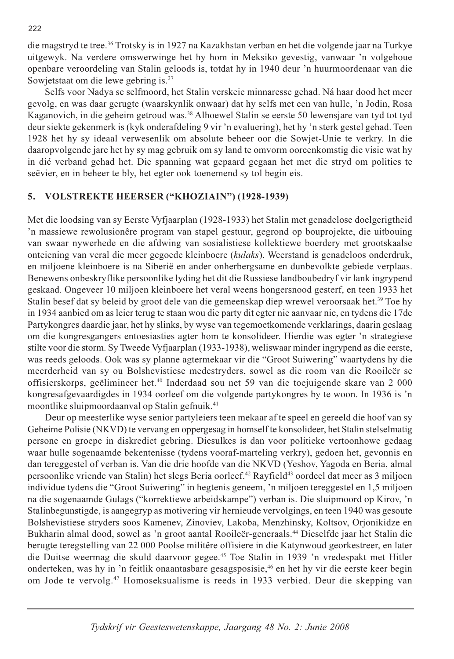die magstryd te tree.<sup>36</sup> Trotsky is in 1927 na Kazakhstan verban en het die volgende jaar na Turkye uitgewyk. Na verdere omswerwinge het hy hom in Meksiko gevestig, vanwaar 'n volgehoue openbare veroordeling van Stalin geloods is, totdat hy in 1940 deur 'n huurmoordenaar van die Sowjetstaat om die lewe gebring is.<sup>37</sup>

Selfs voor Nadya se selfmoord, het Stalin verskeie minnaresse gehad. Ná haar dood het meer gevolg, en was daar gerugte (waarskynlik onwaar) dat hy selfs met een van hulle, 'n Jodin, Rosa Kaganovich, in die geheim getroud was.<sup>38</sup> Alhoewel Stalin se eerste 50 lewensjare van tyd tot tyd deur siekte gekenmerk is (kyk onderafdeling 9 vir 'n evaluering), het hy 'n sterk gestel gehad. Teen 1928 het hy sy ideaal verwesenlik om absolute beheer oor die Sowjet-Unie te verkry. In die daaropvolgende jare het hy sy mag gebruik om sy land te omvorm ooreenkomstig die visie wat hy in dié verband gehad het. Die spanning wat gepaard gegaan het met die stryd om polities te seëvier, en in beheer te bly, het egter ook toenemend sy tol begin eis.

#### VOLSTREKTE HEERSER ("KHOZIAIN") (1928-1939) 5.

Met die loodsing van sy Eerste Vyfjaarplan (1928-1933) het Stalin met genadelose doelgerigtheid 'n massiewe rewolusionêre program van stapel gestuur, gegrond op bouprojekte, die uitbouing van swaar nywerhede en die afdwing van sosialistiese kollektiewe boerdery met grootskaalse onteiening van veral die meer gegoede kleinboere (kulaks). Weerstand is genadeloos onderdruk, en miljoene kleinboere is na Siberië en ander onherbergsame en dunbevolkte gebiede verplaas. Benewens onbeskryflike persoonlike lyding het dit die Russiese landboubedryf vir lank ingrypend geskaad. Ongeveer 10 miljoen kleinboere het veral weens hongersnood gesterf, en teen 1933 het Stalin besef dat sy beleid by groot dele van die gemeenskap diep wrewel veroorsaak het.<sup>39</sup> Toe hy in 1934 aanbied om as leier terug te staan wou die party dit egter nie aanvaar nie, en tydens die 17de Partykongres daardie jaar, het hy slinks, by wyse van tegemoetkomende verklarings, daarin geslaag om die kongresgangers entoesiasties agter hom te konsolideer. Hierdie was egter 'n strategiese stilte voor die storm. Sy Tweede Vyfjaarplan (1933-1938), weliswaar minder ingrypend as die eerste, was reeds geloods. Ook was sy planne agtermekaar vir die "Groot Suiwering" waartydens hy die meerderheid van sy ou Bolshevistiese medestryders, sowel as die room van die Rooileër se offisierskorps, geëlimineer het.<sup>40</sup> Inderdaad sou net 59 van die toejuigende skare van 2 000 kongresafgevaardigdes in 1934 oorleef om die volgende partykongres by te woon. In 1936 is 'n moontlike sluipmoordaanval op Stalin gefnuik.<sup>41</sup>

Deur op meesterlike wyse senior partyleiers teen mekaar af te speel en gereeld die hoof van sy Geheime Polisie (NKVD) te vervang en oppergesag in homself te konsolideer, het Stalin stelselmatig persone en groepe in diskrediet gebring. Diesulkes is dan voor politieke vertoonhowe gedaag waar hulle sogenaamde bekentenisse (tydens vooraf-marteling verkry), gedoen het, gevonnis en dan tereggestel of verban is. Van die drie hoofde van die NKVD (Yeshov, Yagoda en Beria, almal persoonlike vriende van Stalin) het slegs Beria oorleef.<sup>42</sup> Rayfield<sup>43</sup> oordeel dat meer as 3 miljoen individue tydens die "Groot Suiwering" in hegtenis geneem, 'n miljoen tereggestel en 1,5 miljoen na die sogenaamde Gulags ("korrektiewe arbeidskampe") verban is. Die sluipmoord op Kirov, 'n Stalinbegunstigde, is aangegryp as motivering vir hernieude vervolgings, en teen 1940 was gesoute Bolshevistiese stryders soos Kamenev, Zinoviev, Lakoba, Menzhinsky, Koltsov, Orjonikidze en Bukharin almal dood, sowel as 'n groot aantal Rooileër-generaals.<sup>44</sup> Dieselfde jaar het Stalin die berugte teregstelling van 22 000 Poolse militêre offisiere in die Katynwoud georkestreer, en later die Duitse weermag die skuld daarvoor gegee.<sup>45</sup> Toe Stalin in 1939 'n vredespakt met Hitler onderteken, was hy in 'n feitlik onaantasbare gesagsposisie,<sup>46</sup> en het hy vir die eerste keer begin om Jode te vervolg.<sup>47</sup> Homoseksualisme is reeds in 1933 verbied. Deur die skepping van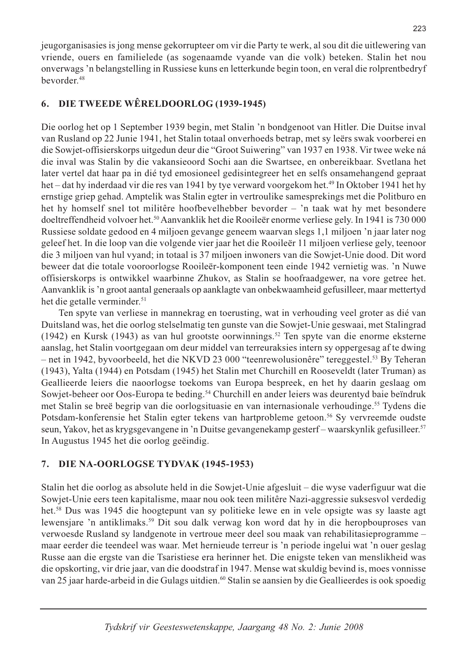jeugorganisasies is jong mense gekorrupteer om vir die Party te werk, al sou dit die uitlewering van vriende, ouers en familielede (as sogenaamde vyande van die volk) beteken. Stalin het nou onverwags 'n belangstelling in Russiese kuns en letterkunde begin toon, en veral die rolprentbedryf bevorder.<sup>48</sup>

#### DIE TWEEDE WÊRELDOORLOG (1939-1945) 6.

Die oorlog het op 1 September 1939 begin, met Stalin 'n bondgenoot van Hitler. Die Duitse inval van Rusland op 22 Junie 1941, het Stalin totaal onverhoeds betrap, met sy leërs swak voorberei en die Sowjet-offisierskorps uitgedun deur die "Groot Suiwering" van 1937 en 1938. Vir twee weke ná die inval was Stalin by die vakansieoord Sochi aan die Swartsee, en onbereikbaar. Svetlana het later vertel dat haar pa in dié tyd emosioneel gedisintegreer het en selfs onsamehangend gepraat het – dat hy inderdaad vir die res van 1941 by tye verward voorgekom het.<sup>49</sup> In Oktober 1941 het hy ernstige griep gehad. Amptelik was Stalin egter in vertroulike samesprekings met die Politburo en het hy homself snel tot militêre hoofbevelhebber bevorder – 'n taak wat hy met besondere doeltreffendheid volvoer het.<sup>50</sup> Aanvanklik het die Rooileër enorme verliese gely. In 1941 is 730 000 Russiese soldate gedood en 4 miljoen gevange geneem waarvan slegs 1,1 miljoen 'n jaar later nog geleef het. In die loop van die volgende vier jaar het die Rooileër 11 miljoen verliese gely, teenoor die 3 miljoen van hul vyand; in totaal is 37 miljoen inwoners van die Sowjet-Unie dood. Dit word beweer dat die totale vooroorlogse Rooileër-komponent teen einde 1942 vernietig was. 'n Nuwe offisierskorps is ontwikkel waarbinne Zhukov, as Stalin se hoofraadgewer, na vore getree het. Aanvanklik is 'n groot aantal generaals op aanklagte van onbekwaamheid gefusilleer, maar mettertyd het die getalle verminder.<sup>51</sup>

Ten spyte van verliese in mannekrag en toerusting, wat in verhouding veel groter as dié van Duitsland was, het die oorlog stelselmatig ten gunste van die Sowjet-Unie geswaai, met Stalingrad (1942) en Kursk (1943) as van hul grootste oorwinnings.<sup>52</sup> Ten spyte van die enorme eksterne aanslag, het Stalin voortgegaan om deur middel van terreuraksies intern sy oppergesag af te dwing - net in 1942, byvoorbeeld, het die NKVD 23 000 "teenrewolusionêre" tereggestel.<sup>53</sup> By Teheran (1943), Yalta (1944) en Potsdam (1945) het Stalin met Churchill en Rooseveldt (later Truman) as Geallieerde leiers die naoorlogse toekoms van Europa bespreek, en het hy daarin geslaag om Sowjet-beheer oor Oos-Europa te beding.<sup>54</sup> Churchill en ander leiers was deurentyd baie beïndruk met Stalin se breë begrip van die oorlogsituasie en van internasionale verhoudinge.<sup>55</sup> Tydens die Potsdam-konferensie het Stalin egter tekens van hartprobleme getoon.<sup>56</sup> Sy vervreemde oudste seun, Yakov, het as krygsgevangene in 'n Duitse gevangenekamp gesterf – waarskynlik gefusilleer.<sup>57</sup> In Augustus 1945 het die oorlog geëindig.

#### 7. DIE NA-OORLOGSE TYDVAK (1945-1953)

Stalin het die oorlog as absolute held in die Sowjet-Unie afgesluit – die wyse vaderfiguur wat die Sowjet-Unie eers teen kapitalisme, maar nou ook teen militêre Nazi-aggressie suksesvol verdedig het.<sup>58</sup> Dus was 1945 die hoogtepunt van sy politieke lewe en in vele opsigte was sy laaste agt lewensjare 'n antiklimaks.<sup>59</sup> Dit sou dalk verwag kon word dat hy in die heropbouproses van verwoesde Rusland sy landgenote in vertroue meer deel sou maak van rehabilitasieprogramme – maar eerder die teendeel was waar. Met hernieude terreur is 'n periode ingelui wat 'n ouer geslag Russe aan die ergste van die Tsaristiese era herinner het. Die enigste teken van menslikheid was die opskorting, vir drie jaar, van die doodstraf in 1947. Mense wat skuldig bevind is, moes vonnisse van 25 jaar harde-arbeid in die Gulags uitdien.<sup>60</sup> Stalin se aansien by die Geallieerdes is ook spoedig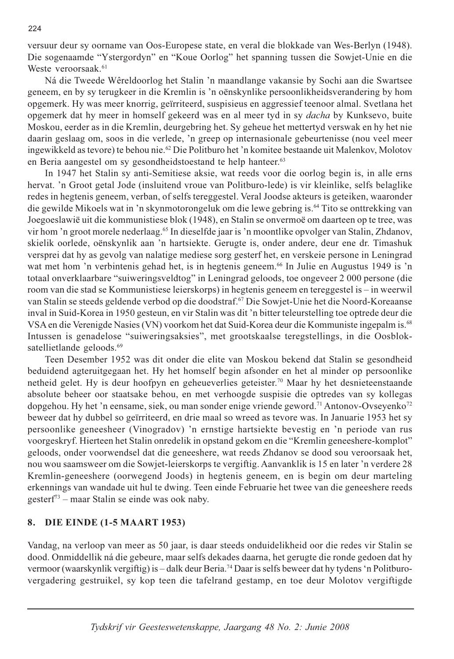versuur deur sy oorname van Oos-Europese state, en veral die blokkade van Wes-Berlyn (1948). Die sogenaamde "Ystergordyn" en "Koue Oorlog" het spanning tussen die Sowjet-Unie en die Weste veroorsaak.<sup>61</sup>

Ná die Tweede Wêreldoorlog het Stalin 'n maandlange vakansie by Sochi aan die Swartsee geneem, en by sy terugkeer in die Kremlin is 'n oënskynlike persoonlikheidsverandering by hom opgemerk. Hy was meer knorrig, geïrriteerd, suspisieus en aggressief teenoor almal. Svetlana het opgemerk dat hy meer in homself gekeerd was en al meer tyd in sy *dacha* by Kunksevo, buite Moskou, eerder as in die Kremlin, deurgebring het. Sy geheue het mettertyd verswak en hy het nie daarin geslaag om, soos in die verlede, 'n greep op internasionale gebeurtenisse (nou veel meer ingewikkeld as tevore) te behou nie.<sup>62</sup> Die Politburo het 'n komitee bestaande uit Malenkov, Molotov en Beria aangestel om sy gesondheidstoestand te help hanteer.<sup>63</sup>

In 1947 het Stalin sy anti-Semitiese aksie, wat reeds voor die oorlog begin is, in alle erns hervat. 'n Groot getal Jode (insluitend vroue van Politburo-lede) is vir kleinlike, selfs belaglike redes in hegtenis geneem, verban, of selfs tereggestel. Veral Joodse akteurs is geteiken, waaronder die gewilde Mikoels wat in 'n skynmotorongeluk om die lewe gebring is.<sup>64</sup> Tito se onttrekking van Joegoeslawië uit die kommunistiese blok (1948), en Stalin se onvermoë om daarteen op te tree, was vir hom 'n groot morele nederlaag.<sup>65</sup> In dieselfde jaar is 'n moontlike opvolger van Stalin, Zhdanov, skielik oorlede, oënskynlik aan 'n hartsiekte. Gerugte is, onder andere, deur ene dr. Timashuk versprei dat hy as gevolg van nalatige mediese sorg gesterf het, en verskeie persone in Leningrad wat met hom 'n verbintenis gehad het, is in hegtenis geneem.<sup>66</sup> In Julie en Augustus 1949 is 'n totaal onverklaarbare "suiweringsveldtog" in Leningrad geloods, toe ongeveer 2000 persone (die room van die stad se Kommunistiese leierskorps) in hegtenis geneem en tereggestel is – in weerwil van Stalin se steeds geldende verbod op die doodstraf.<sup>67</sup> Die Sowjet-Unie het die Noord-Koreaanse inval in Suid-Korea in 1950 gesteun, en vir Stalin was dit 'n bitter teleurstelling toe optrede deur die VSA en die Verenigde Nasies (VN) voorkom het dat Suid-Korea deur die Kommuniste ingepalm is.<sup>68</sup> Intussen is genadelose "suiweringsaksies", met grootskaalse teregstellings, in die Oosbloksatellietlande geloods.<sup>69</sup>

Teen Desember 1952 was dit onder die elite van Moskou bekend dat Stalin se gesondheid beduidend agteruitgegaan het. Hy het homself begin afsonder en het al minder op persoonlike netheid gelet. Hy is deur hoofpyn en geheueverlies geteister.<sup>70</sup> Maar hy het desnieteenstaande absolute beheer oor staatsake behou, en met verhoogde suspisie die optredes van sy kollegas dopgehou. Hy het 'n eensame, siek, ou man sonder enige vriende geword.<sup>71</sup> Antonov-Ovseyenko<sup>72</sup> beweer dat hy dubbel so geïrriteerd, en drie maal so wreed as tevore was. In Januarie 1953 het sy persoonlike geneesheer (Vinogradov) 'n ernstige hartsiekte bevestig en 'n periode van rus voorgeskryf. Hierteen het Stalin onredelik in opstand gekom en die "Kremlin geneeshere-komplot" geloods, onder voorwendsel dat die geneeshere, wat reeds Zhdanov se dood sou veroorsaak het, nou wou saamsweer om die Sowjet-leierskorps te vergiftig. Aanvanklik is 15 en later 'n verdere 28 Kremlin-geneeshere (oorwegend Joods) in hegtenis geneem, en is begin om deur marteling erkennings van wandade uit hul te dwing. Teen einde Februarie het twee van die geneeshere reeds gesterf<sup>73</sup> – maar Stalin se einde was ook naby.

### 8. DIE EINDE (1-5 MAART 1953)

Vandag, na verloop van meer as 50 jaar, is daar steeds onduidelikheid oor die redes vir Stalin se dood. Onmiddellik ná die gebeure, maar selfs dekades daarna, het gerugte die ronde gedoen dat hy vermoor (waarskynlik vergiftig) is - dalk deur Beria.<sup>74</sup> Daar is selfs beweer dat hy tydens 'n Politburovergadering gestruikel, sy kop teen die tafelrand gestamp, en toe deur Molotov vergiftigde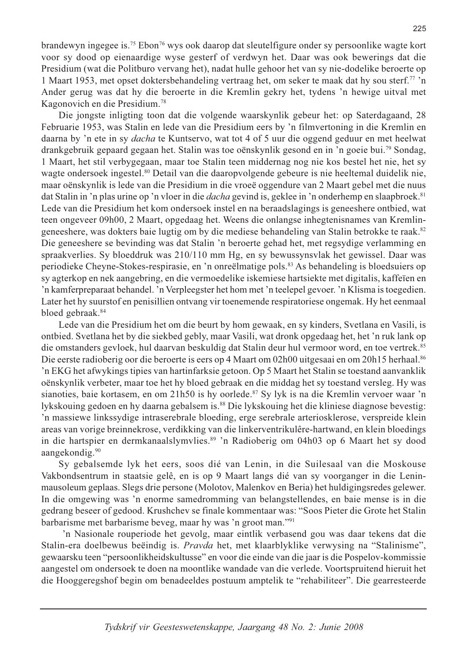brandewyn ingegee is.<sup>75</sup> Ebon<sup>76</sup> wys ook daarop dat sleutelfigure onder sy persoonlike wagte kort voor sy dood op eienaardige wyse gesterf of verdwyn het. Daar was ook bewerings dat die Presidium (wat die Politburo vervang het), nadat hulle gehoor het van sy nie-dodelike beroerte op 1 Maart 1953, met opset doktersbehandeling vertraag het, om seker te maak dat hy sou sterf.<sup>77</sup> 'n Ander gerug was dat hy die beroerte in die Kremlin gekry het, tydens 'n hewige uitval met Kagonovich en die Presidium.<sup>78</sup>

Die jongste inligting toon dat die volgende waarskynlik gebeur het: op Saterdagaand, 28 Februarie 1953, was Stalin en lede van die Presidium eers by 'n filmvertoning in die Kremlin en daarna by 'n ete in sy *dacha* te Kuntservo, wat tot 4 of 5 uur die oggend geduur en met heelwat drankgebruik gepaard gegaan het. Stalin was toe oënskynlik gesond en in 'n goeie bui.<sup>79</sup> Sondag, 1 Maart, het stil verbygegaan, maar toe Stalin teen middernag nog nie kos bestel het nie, het sy wagte ondersoek ingestel.<sup>80</sup> Detail van die daaropvolgende gebeure is nie heeltemal duidelik nie, maar oënskynlik is lede van die Presidium in die vroeë oggendure van 2 Maart gebel met die nuus dat Stalin in 'n plas urine op 'n vloer in die *dacha* gevind is, geklee in 'n onderhemp en slaapbroek.<sup>81</sup> Lede van die Presidium het kom ondersoek instel en na beraadslagings is geneeshere ontbied, wat teen ongeveer 09h00, 2 Maart, opgedaag het. Weens die onlangse inhegtenisnames van Kremlingeneeshere, was dokters baie lugtig om by die mediese behandeling van Stalin betrokke te raak.<sup>82</sup> Die geneeshere se bevinding was dat Stalin 'n beroerte gehad het, met regsydige verlamming en spraakverlies. Sy bloeddruk was 210/110 mm Hg, en sy bewussynsvlak het gewissel. Daar was periodieke Cheyne-Stokes-respirasie, en 'n onreëlmatige pols.<sup>83</sup> As behandeling is bloedsuiers op sy agterkop en nek aangebring, en die vermoedelike iskemiese hartsiekte met digitalis, kaffeïen en 'n kamferpreparaat behandel. 'n Verpleegster het hom met 'n teelepel gevoer. 'n Klisma is toegedien. Later het hy suurstof en penisillien ontvang vir toenemende respiratoriese ongemak. Hy het eenmaal bloed gebraak.<sup>84</sup>

Lede van die Presidium het om die beurt by hom gewaak, en sy kinders, Svetlana en Vasili, is ontbied. Svetlana het by die siekbed gebly, maar Vasili, wat dronk opgedaag het, het 'n ruk lank op die omstanders gevloek, hul daarvan beskuldig dat Stalin deur hul vermoor word, en toe vertrek.<sup>85</sup> Die eerste radioberig oor die beroerte is eers op 4 Maart om 02h00 uitgesaai en om 20h15 herhaal.<sup>86</sup> 'n EKG het afwykings tipies van hartinfarksie getoon. Op 5 Maart het Stalin se toestand aanvanklik oënskynlik verbeter, maar toe het hy bloed gebraak en die middag het sy toestand versleg. Hy was sianoties, baie kortasem, en om 21h50 is hy oorlede.<sup>87</sup> Sy lyk is na die Kremlin vervoer waar 'n lykskouing gedoen en hy daarna gebalsem is.<sup>88</sup> Die lykskouing het die kliniese diagnose bevestig: 'n massiewe linkssydige intraserebrale bloeding, erge serebrale arteriosklerose, verspreide klein areas van vorige breinnekrose, verdikking van die linkerventrikulêre-hartwand, en klein bloedings in die hartspier en dermkanaalslymvlies.<sup>89</sup> 'n Radioberig om 04h03 op 6 Maart het sy dood aangekondig.<sup>90</sup>

Sy gebalsemde lyk het eers, soos dié van Lenin, in die Suilesaal van die Moskouse Vakbondsentrum in staatsie gelê, en is op 9 Maart langs dié van sy voorganger in die Leninmausoleum geplaas. Slegs drie persone (Molotov, Malenkov en Beria) het huldigingsredes gelewer. In die omgewing was 'n enorme samedromming van belangstellendes, en baie mense is in die gedrang beseer of gedood. Krushchev se finale kommentaar was: "Soos Pieter die Grote het Stalin barbarisme met barbarisme beveg, maar hy was 'n groot man."<sup>91</sup>

'n Nasionale rouperiode het gevolg, maar eintlik verbasend gou was daar tekens dat die Stalin-era doelbewus beëindig is. *Pravda* het, met klaarblyklike verwysing na "Stalinisme", gewaarsku teen "persoonlikheidskultusse" en voor die einde van die jaar is die Pospelov-kommissie aangestel om ondersoek te doen na moontlike wandade van die verlede. Voortspruitend hieruit het die Hooggeregshof begin om benadeeldes postuum amptelik te "rehabiliteer". Die gearresteerde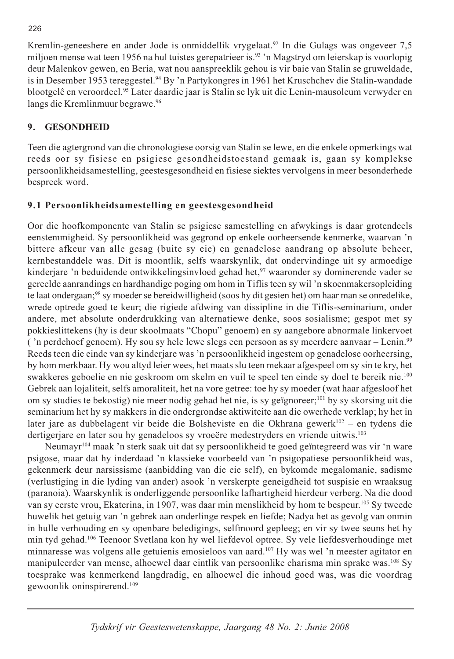Kremlin-geneeshere en ander Jode is onmiddellik vrygelaat.<sup>92</sup> In die Gulags was ongeveer 7,5 miljoen mense wat teen 1956 na hul tuistes gerepatrieer is.<sup>93</sup> 'n Magstryd om leierskap is voorlopig deur Malenkov gewen, en Beria, wat nou aanspreeklik gehou is vir baie van Stalin se gruweldade, is in Desember 1953 tereggestel.<sup>94</sup> By 'n Partykongres in 1961 het Kruschchev die Stalin-wandade blootgelê en veroordeel.<sup>95</sup> Later daardie jaar is Stalin se lyk uit die Lenin-mausoleum verwyder en langs die Kremlinmuur begrawe.<sup>96</sup>

#### **GESONDHEID** 9.

Teen die agtergrond van die chronologiese oorsig van Stalin se lewe, en die enkele opmerkings wat reeds oor sy fisiese en psigiese gesondheidstoestand gemaak is, gaan sy komplekse persoonlikheidsamestelling, geestesgesondheid en fisiese siektes vervolgens in meer besonderhede bespreek word.

# 9.1 Persoonlikheidsamestelling en geestesgesondheid

Oor die hoofkomponente van Stalin se psigiese samestelling en afwykings is daar grotendeels eenstemmigheid. Sy persoonlikheid was gegrond op enkele oorheersende kenmerke, waarvan 'n bittere afkeur van alle gesag (buite sy eie) en genadelose aandrang op absolute beheer, kernbestanddele was. Dit is moontlik, selfs waarskynlik, dat ondervindinge uit sy armoedige kinderjare 'n beduidende ontwikkelingsinvloed gehad het,<sup>97</sup> waaronder sy dominerende vader se gereelde aanrandings en hardhandige poging om hom in Tiflis teen sy wil 'n skoenmakersopleiding te laat ondergaan;<sup>98</sup> sy moeder se bereidwilligheid (soos hy dit gesien het) om haar man se onredelike, wrede optrede goed te keur; die rigiede afdwing van dissipline in die Tiflis-seminarium, onder andere, met absolute onderdrukking van alternatiewe denke, soos sosialisme; gespot met sy pokkieslittekens (hy is deur skoolmaats "Chopu" genoem) en sy aangebore abnormale linkervoet ('n perdehoef genoem). Hy sou sy hele lewe slegs een persoon as sy meerdere aanvaar – Lenin.<sup>99</sup> Reeds teen die einde van sy kinderjare was 'n persoonlikheid ingestem op genadelose oorheersing, by hom merkbaar. Hy wou altyd leier wees, het maats slu teen mekaar afgespeel om sy sin te kry, het swakkeres geboelie en nie geskroom om skelm en vuil te speel ten einde sy doel te bereik nie.<sup>100</sup> Gebrek aan lojaliteit, selfs amoraliteit, het na vore getree: toe hy sy moeder (wat haar afgesloof het om sy studies te bekostig) nie meer nodig gehad het nie, is sy geïgnoreer;<sup>101</sup> by sy skorsing uit die seminarium het hy sy makkers in die ondergrondse aktiwiteite aan die owerhede verklap; hy het in later jare as dubbelagent vir beide die Bolsheviste en die Okhrana gewerk<sup>102</sup> – en tydens die dertigeriare en later sou hy genadeloos sy vroeëre medestryders en vriende uitwis.<sup>103</sup>

Neumayr<sup>104</sup> maak 'n sterk saak uit dat sy persoonlikheid te goed geïntegreerd was vir 'n ware psigose, maar dat hy inderdaad 'n klassieke voorbeeld van 'n psigopatiese persoonlikheid was, gekenmerk deur narsissisme (aanbidding van die eie self), en bykomde megalomanie, sadisme (verlustiging in die lyding van ander) asook 'n verskerpte geneigdheid tot suspisie en wraaksug (paranoia). Waarskynlik is onderliggende persoonlike lafhartigheid hierdeur verberg. Na die dood van sy eerste vrou, Ekaterina, in 1907, was daar min menslikheid by hom te bespeur.<sup>105</sup> Sy tweede huwelik het getuig van 'n gebrek aan onderlinge respek en liefde; Nadya het as gevolg van onmin in hulle verhouding en sy openbare beledigings, selfmoord gepleeg; en vir sy twee seuns het hy min tyd gehad.<sup>106</sup> Teenoor Svetlana kon hy wel liefdevol optree. Sy vele liefdesverhoudinge met minnaresse was volgens alle getuienis emosieloos van aard.<sup>107</sup> Hy was wel 'n meester agitator en manipuleerder van mense, alhoewel daar eintlik van persoonlike charisma min sprake was.<sup>108</sup> Sy toesprake was kenmerkend langdradig, en alhoewel die inhoud goed was, was die voordrag gewoonlik oninspirerend.<sup>109</sup>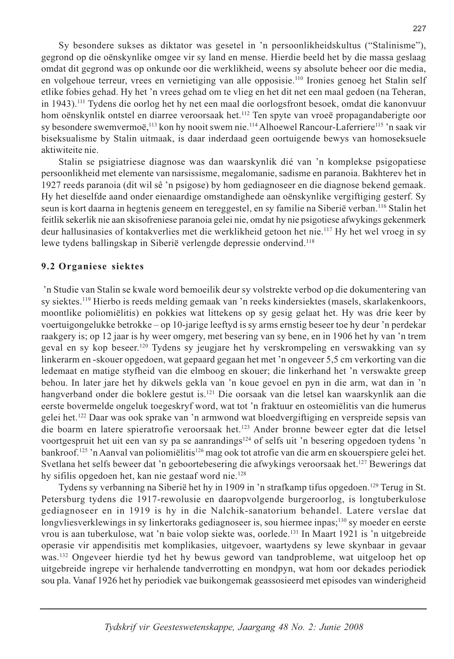Sy besondere sukses as diktator was gesetel in 'n persoonlikheidskultus ("Stalinisme"), gegrond op die oënskynlike omgee vir sy land en mense. Hierdie beeld het by die massa geslaag omdat dit gegrond was op onkunde oor die werklikheid, weens sy absolute beheer oor die media, en volgehoue terreur, vrees en vernietiging van alle opposisie.<sup>110</sup> Ironies genoeg het Stalin self etlike fobies gehad. Hy het 'n vrees gehad om te vlieg en het dit net een maal gedoen (na Teheran, in 1943).<sup>111</sup> Tydens die oorlog het hy net een maal die oorlogsfront besoek, omdat die kanonvuur hom oënskynlik ontstel en diarree veroorsaak het.<sup>112</sup> Ten spyte van vroeë propagandaberigte oor sy besondere swemvermoë,<sup>113</sup> kon hy nooit swem nie.<sup>114</sup> Alhoewel Rancour-Laferriere<sup>115</sup> 'n saak vir biseksualisme by Stalin uitmaak, is daar inderdaad geen oortuigende bewys van homoseksuele aktiwiteite nie.

Stalin se psigiatriese diagnose was dan waarskynlik dié van 'n komplekse psigopatiese persoonlikheid met elemente van narsissisme, megalomanie, sadisme en paranoia. Bakhterev het in 1927 reeds paranoia (dit wil sê 'n psigose) by hom gediagnoseer en die diagnose bekend gemaak. Hy het dieselfde aand onder eienaardige omstandighede aan oënskynlike vergiftiging gesterf. Sy seun is kort daarna in hegtenis geneem en tereggestel, en sy familie na Siberië verban.<sup>116</sup> Stalin het feitlik sekerlik nie aan skisofreniese paranoia gelei nie, omdat hy nie psigotiese afwykings gekenmerk deur hallusinasies of kontakverlies met die werklikheid getoon het nie.<sup>117</sup> Hy het wel vroeg in sy lewe tydens ballingskap in Siberië verlengde depressie ondervind.<sup>118</sup>

### 9.2 Organiese siektes

'n Studie van Stalin se kwale word bemoeilik deur sy volstrekte verbod op die dokumentering van sy siektes.<sup>119</sup> Hierbo is reeds melding gemaak van 'n reeks kindersiektes (masels, skarlakenkoors, moontlike poliomiëlitis) en pokkies wat littekens op sy gesig gelaat het. Hy was drie keer by voertuigongelukke betrokke – op 10-jarige leeftyd is sy arms ernstig beseer toe hy deur 'n perdekar raakgery is; op 12 jaar is hy weer omgery, met besering van sy bene, en in 1906 het hy van 'n trem geval en sy kop beseer.<sup>120</sup> Tydens sy jeugjare het hy verskrompeling en verswakking van sy linkerarm en -skouer opgedoen, wat gepaard gegaan het met 'n ongeveer 5,5 cm verkorting van die ledemaat en matige styfheid van die elmboog en skouer; die linkerhand het 'n verswakte greep behou. In later jare het hy dikwels gekla van 'n koue gevoel en pyn in die arm, wat dan in 'n hangverband onder die boklere gestut is.<sup>121</sup> Die oorsaak van die letsel kan waarskynlik aan die eerste bovermelde ongeluk toegeskryf word, wat tot 'n fraktuur en osteomiëlitis van die humerus gelei het.<sup>122</sup> Daar was ook sprake van 'n armwond wat bloedvergiftiging en verspreide sepsis van die boarm en latere spieratrofie veroorsaak het.<sup>123</sup> Ander bronne beweer egter dat die letsel voortgespruit het uit een van sy pa se aanrandings<sup>124</sup> of selfs uit 'n besering opgedoen tydens 'n bankroof.<sup>125</sup> 'n Aanval van poliomiëlitis<sup>126</sup> mag ook tot atrofie van die arm en skouerspiere gelei het. Svetlana het selfs beweer dat 'n geboortebesering die afwykings veroorsaak het.<sup>127</sup> Bewerings dat hy sifilis opgedoen het, kan nie gestaaf word nie.<sup>128</sup>

Tydens sy verbanning na Siberië het hy in 1909 in 'n strafkamp tifus opgedoen.<sup>129</sup> Terug in St. Petersburg tydens die 1917-rewolusie en daaropvolgende burgeroorlog, is longtuberkulose gediagnoseer en in 1919 is hy in die Nalchik-sanatorium behandel. Latere verslae dat longyliesverklewings in sy linkertoraks gediagnoseer is, sou hiermee inpas;<sup>130</sup> sy moeder en eerste vrou is aan tuberkulose, wat 'n baie volop siekte was, oorlede.<sup>131</sup> In Maart 1921 is 'n uitgebreide operasie vir appendisitis met komplikasies, uitgevoer, waartydens sy lewe skynbaar in gevaar was.<sup>132</sup> Ongeveer hierdie tyd het hy bewus geword van tandprobleme, wat uitgeloop het op uitgebreide ingrepe vir herhalende tandverrotting en mondpyn, wat hom oor dekades periodiek sou pla. Vanaf 1926 het hy periodiek vae buikongemak geassosieerd met episodes van winderigheid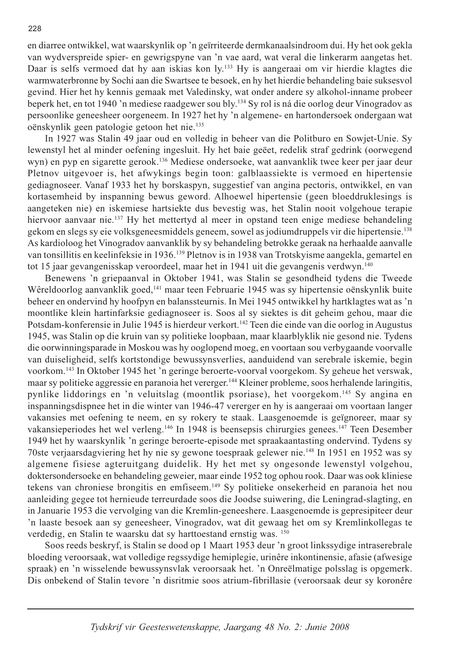en diarree ontwikkel, wat waarskynlik op 'n geïrriteerde dermkanaalsindroom dui. Hy het ook gekla van wydverspreide spier- en gewrigspyne van 'n vae aard, wat veral die linkerarm aangetas het. Daar is selfs vermoed dat hy aan iskias kon ly.<sup>133</sup> Hy is aangeraai om vir hierdie klagtes die warmwaterbronne by Sochi aan die Swartsee te besoek, en hy het hierdie behandeling baie suksesvol gevind. Hier het hy kennis gemaak met Valedinsky, wat onder andere sy alkohol-inname probeer beperk het, en tot 1940 'n mediese raadgewer sou bly.<sup>134</sup> Sy rol is ná die oorlog deur Vinogradov as persoonlike geneesheer oorgeneem. In 1927 het hy 'n algemene- en hartondersoek ondergaan wat oënskynlik geen patologie getoon het nie.<sup>135</sup>

In 1927 was Stalin 49 jaar oud en volledig in beheer van die Politburo en Sowjet-Unie. Sy lewenstyl het al minder oefening ingesluit. Hy het baie geëet, redelik straf gedrink (oorwegend wyn) en pyp en sigarette gerook.<sup>136</sup> Mediese ondersoeke, wat aanvanklik twee keer per jaar deur Pletnov uitgevoer is, het afwykings begin toon: galblaassiekte is vermoed en hipertensie gediagnoseer. Vanaf 1933 het hy borskaspyn, suggestief van angina pectoris, ontwikkel, en van kortasemheid by inspanning bewus geword. Alhoewel hipertensie (geen bloeddruklesings is aangeteken nie) en iskemiese hartsiekte dus bevestig was, het Stalin nooit volgehoue terapie hiervoor aanvaar nie.<sup>137</sup> Hy het mettertyd al meer in opstand teen enige mediese behandeling gekom en slegs sy eie volksgeneesmiddels geneem, sowel as jodiumdruppels vir die hipertensie.<sup>138</sup> As kardioloog het Vinogradov aanvanklik by sy behandeling betrokke geraak na herhaalde aanvalle van tonsillitis en keelinfeksie in 1936.<sup>139</sup> Pletnov is in 1938 van Trotskyisme aangekla, gemartel en tot 15 jaar gevangenisskap veroordeel, maar het in 1941 uit die gevangenis verdwyn.<sup>140</sup>

Benewens 'n griepaanval in Oktober 1941, was Stalin se gesondheid tydens die Tweede Wêreldoorlog aanvanklik goed,<sup>141</sup> maar teen Februarie 1945 was sy hipertensie oënskynlik buite beheer en ondervind hy hoofpyn en balanssteurnis. In Mei 1945 ontwikkel hy hartklagtes wat as 'n moontlike klein hartinfarksie gediagnoseer is. Soos al sy siektes is dit geheim gehou, maar die Potsdam-konferensie in Julie 1945 is hierdeur verkort.<sup>142</sup> Teen die einde van die oorlog in Augustus 1945, was Stalin op die kruin van sy politieke loopbaan, maar klaarblyklik nie gesond nie. Tydens die oorwinningsparade in Moskou was hy ooglopend moeg, en voortaan sou verbygaande voorvalle van duiseligheid, selfs kortstondige bewussynsverlies, aanduidend van serebrale iskemie, begin voorkom.<sup>143</sup> In Oktober 1945 het 'n geringe beroerte-voorval voorgekom. Sy geheue het verswak, maar sy politieke aggressie en paranoia het vererger.<sup>144</sup> Kleiner probleme, soos herhalende laringitis, pynlike liddorings en 'n veluitslag (moontlik psoriase), het voorgekom.<sup>145</sup> Sy angina en inspanningsdispnee het in die winter van 1946-47 vererger en hy is aangeraai om voortaan langer vakansies met oefening te neem, en sy rokery te staak. Laasgenoemde is geïgnoreer, maar sy vakansieperiodes het wel verleng.<sup>146</sup> In 1948 is beensepsis chirurgies genees.<sup>147</sup> Teen Desember 1949 het hy waarskynlik 'n geringe beroerte-episode met spraakaantasting ondervind. Tydens sy 70ste verjaarsdagviering het hy nie sy gewone toespraak gelewer nie.<sup>148</sup> In 1951 en 1952 was sy algemene fisiese agteruitgang duidelik. Hy het met sy ongesonde lewenstyl volgehou, doktersondersoeke en behandeling geweier, maar einde 1952 tog ophou rook. Daar was ook kliniese tekens van chroniese brongitis en emfiseem.<sup>149</sup> Sy politieke onsekerheid en paranoia het nou aanleiding gegee tot hernieude terreurdade soos die Joodse suiwering, die Leningrad-slagting, en in Januarie 1953 die vervolging van die Kremlin-geneeshere. Laasgenoemde is gepresipiteer deur 'n laaste besoek aan sy geneesheer, Vinogradov, wat dit gewaag het om sy Kremlinkollegas te verdedig, en Stalin te waarsku dat sy harttoestand ernstig was. 150

Soos reeds beskryf, is Stalin se dood op 1 Maart 1953 deur 'n groot linkssydige intraserebrale bloeding veroorsaak, wat volledige regssydige hemiplegie, urinêre inkontinensie, afasie (afwesige spraak) en 'n wisselende bewussynsvlak veroorsaak het. 'n Onreëlmatige polsslag is opgemerk. Dis onbekend of Stalin tevore 'n disritmie soos atrium-fibrillasie (veroorsaak deur sy koronêre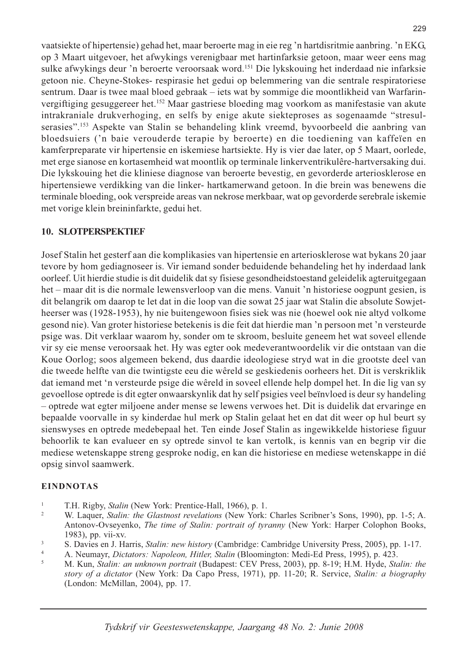vaatsiekte of hipertensie) gehad het, maar beroerte mag in eie reg 'n hartdisritmie aanbring. 'n EKG, op 3 Maart uitgevoer, het afwykings verenigbaar met hartinfarksie getoon, maar weer eens mag sulke afwykings deur 'n beroerte veroorsaak word.<sup>151</sup> Die lykskouing het inderdaad nie infarksie getoon nie. Cheyne-Stokes- respirasie het gedui op belemmering van die sentrale respiratoriese sentrum. Daar is twee maal bloed gebraak – iets wat by sommige die moontlikheid van Warfarinvergiftiging gesuggereer het.<sup>152</sup> Maar gastriese bloeding mag voorkom as manifestasie van akute intrakraniale drukverhoging, en selfs by enige akute siekteproses as sogenaamde "stresulserasies".<sup>153</sup> Aspekte van Stalin se behandeling klink vreemd, byvoorbeeld die aanbring van bloedsuiers ('n baie verouderde terapie by beroerte) en die toediening van kaffeïen en kamferpreparate vir hipertensie en iskemiese hartsiekte. Hy is vier dae later, op 5 Maart, oorlede, met erge sianose en kortasemheid wat moontlik op terminale linkerventrikulêre-hartversaking dui. Die lykskouing het die kliniese diagnose van beroerte bevestig, en gevorderde arteriosklerose en hipertensiewe verdikking van die linker- hartkamerwand getoon. In die brein was benewens die terminale bloeding, ook verspreide areas van nekrose merkbaar, wat op gevorderde serebrale iskemie met vorige klein breininfarkte, gedui het.

### **10. SLOTPERSPEKTIEF**

Josef Stalin het gesterf aan die komplikasies van hipertensie en arteriosklerose wat bykans 20 jaar tevore by hom gediagnoseer is. Vir iemand sonder beduidende behandeling het hy inderdaad lank oorleef. Uit hierdie studie is dit duidelik dat sy fisiese gesondheidstoestand geleidelik agteruitgegaan het – maar dit is die normale lewensverloop van die mens. Vanuit 'n historiese oogpunt gesien, is dit belangrik om daarop te let dat in die loop van die sowat 25 jaar wat Stalin die absolute Sowjetheerser was (1928-1953), hy nie buitengewoon fisies siek was nie (hoewel ook nie altyd volkome gesond nie). Van groter historiese betekenis is die feit dat hierdie man 'n persoon met 'n versteurde psige was. Dit verklaar waarom hy, sonder om te skroom, besluite geneem het wat soveel ellende vir sy eie mense veroorsaak het. Hy was egter ook medeverantwoordelik vir die ontstaan van die Koue Oorlog; soos algemeen bekend, dus daardie ideologiese stryd wat in die grootste deel van die tweede helfte van die twintigste eeu die wêreld se geskiedenis oorheers het. Dit is verskriklik dat iemand met 'n versteurde psige die wêreld in soveel ellende help dompel het. In die lig van sy gevoellose optrede is dit egter onwaarskynlik dat hy self psigies veel beïnvloed is deur sy handeling - optrede wat egter miljoene ander mense se lewens verwoes het. Dit is duidelik dat ervaringe en bepaalde voorvalle in sy kinderdae hul merk op Stalin gelaat het en dat dit weer op hul beurt sy sienswyses en optrede medebepaal het. Ten einde Josef Stalin as ingewikkelde historiese figuur behoorlik te kan evalueer en sy optrede sinvol te kan vertolk, is kennis van en begrip vir die mediese wetenskappe streng gesproke nodig, en kan die historiese en mediese wetenskappe in dié opsig sinvol saamwerk.

### **EINDNOTAS**

- $\mathbf{1}$ T.H. Rigby, Stalin (New York: Prentice-Hall, 1966), p. 1.
- $\overline{2}$ W. Laquer, Stalin: the Glastnost revelations (New York: Charles Scribner's Sons, 1990), pp. 1-5; A. Antonov-Ovseyenko, The time of Stalin: portrait of tyranny (New York: Harper Colophon Books, 1983), pp. vii-xv.
- $\overline{\mathbf{3}}$ S. Davies en J. Harris, *Stalin: new history* (Cambridge: Cambridge University Press, 2005), pp. 1-17.
- $\overline{4}$ A. Neumayr, Dictators: Napoleon, Hitler, Stalin (Bloomington: Medi-Ed Press, 1995), p. 423.
- $\overline{5}$ M. Kun, Stalin: an unknown portrait (Budapest: CEV Press, 2003), pp. 8-19; H.M. Hyde, Stalin: the story of a dictator (New York: Da Capo Press, 1971), pp. 11-20; R. Service, Stalin: a biography (London: McMillan, 2004), pp. 17.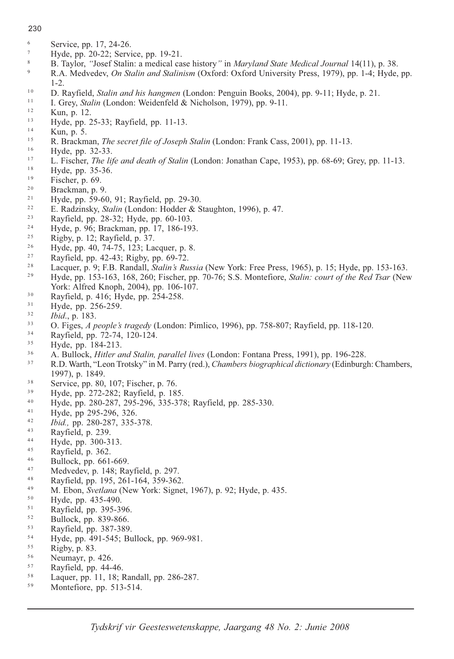### 230

- 6 Service, pp. 17, 24-26.
- $\overline{7}$ Hyde, pp. 20-22; Service, pp. 19-21.
- 8 B. Taylor, "Josef Stalin: a medical case history" in *Maryland State Medical Journal* 14(11), p. 38.
- $\overline{Q}$ R.A. Medvedev, On Stalin and Stalinism (Oxford: Oxford University Press, 1979), pp. 1-4; Hyde, pp.  $1-2.$
- $10$ D. Rayfield, *Stalin and his hangmen* (London: Penguin Books, 2004), pp. 9-11; Hyde, p. 21.
- $11$ I. Grey, Stalin (London: Weidenfeld & Nicholson, 1979), pp. 9-11.
- $12$ Kun, p. 12.
- $13$ Hyde, pp. 25-33; Rayfield, pp. 11-13.
- $14$ Kun, p. 5.
- $15$ R. Brackman, The secret file of Joseph Stalin (London: Frank Cass, 2001), pp. 11-13.
- $16$ Hyde, pp. 32-33.
- $17$ L. Fischer, *The life and death of Stalin* (London: Jonathan Cape, 1953), pp. 68-69; Grey, pp. 11-13.
- 18 Hyde, pp. 35-36.
- $19$ Fischer, p. 69.
- $20$ Brackman, p. 9.
- $21$ Hyde, pp. 59-60, 91; Rayfield, pp. 29-30.
- $22$ E. Radzinsky, Stalin (London: Hodder & Staughton, 1996), p. 47.
- $2\sqrt{3}$ Rayfield, pp. 28-32; Hyde, pp. 60-103.
- $24$ Hyde, p. 96; Brackman, pp. 17, 186-193.
- $25$ Rigby, p. 12; Rayfield, p. 37.
- $2.6$ Hyde, pp. 40, 74-75, 123; Lacquer, p. 8.
- 27 Rayfield, pp. 42-43; Rigby, pp. 69-72.
- 28 Lacquer, p. 9; F.B. Randall, *Stalin's Russia* (New York: Free Press, 1965), p. 15; Hyde, pp. 153-163.
- $2.9$ Hyde, pp. 153-163, 168, 260; Fischer, pp. 70-76; S.S. Montefiore, *Stalin: court of the Red Tsar* (New York: Alfred Knoph, 2004), pp. 106-107.
- $30$ Rayfield, p. 416; Hyde, pp. 254-258.
- $31$ Hyde, pp. 256-259.
- $32$ *Ibid.*, p. 183.
- $33$ O. Figes, A people's tragedy (London: Pimlico, 1996), pp. 758-807; Rayfield, pp. 118-120.
- $34$ Rayfield, pp. 72-74, 120-124.
- 35 Hyde, pp. 184-213.
- 36 A. Bullock, *Hitler and Stalin, parallel lives* (London: Fontana Press, 1991), pp. 196-228.
- $37$ R.D. Warth, "Leon Trotsky" in M. Parry (red.), Chambers biographical dictionary (Edinburgh: Chambers, 1997), p. 1849.
- 38 Service, pp. 80, 107; Fischer, p. 76.
- $39$ Hyde, pp. 272-282; Rayfield, p. 185.
- $40$ Hyde, pp. 280-287, 295-296, 335-378; Rayfield, pp. 285-330.
- $41$ Hyde, pp 295-296, 326.
- $42$ Ibid., pp. 280-287, 335-378.
- $43$ Rayfield, p. 239.
- $44$ Hyde, pp. 300-313.
- $45$ Rayfield, p. 362.
- $46$ Bullock, pp. 661-669.
- 47 Medvedev, p. 148; Rayfield, p. 297.
- 48 Rayfield, pp. 195, 261-164, 359-362.
- 49 M. Ebon, Svetlana (New York: Signet, 1967), p. 92; Hyde, p. 435.
- $5\,0$ Hyde, pp. 435-490.
- $51$ Rayfield, pp. 395-396.
- 52 Bullock, pp. 839-866.
- $53$ Rayfield, pp. 387-389.
- 54 Hyde, pp. 491-545; Bullock, pp. 969-981.
- 55 Rigby, p. 83.
- 56 Neumayr, p. 426.
- $57$ Rayfield, pp. 44-46.
- 58 Laquer, pp. 11, 18; Randall, pp. 286-287.
- $59$ Montefiore, pp. 513-514.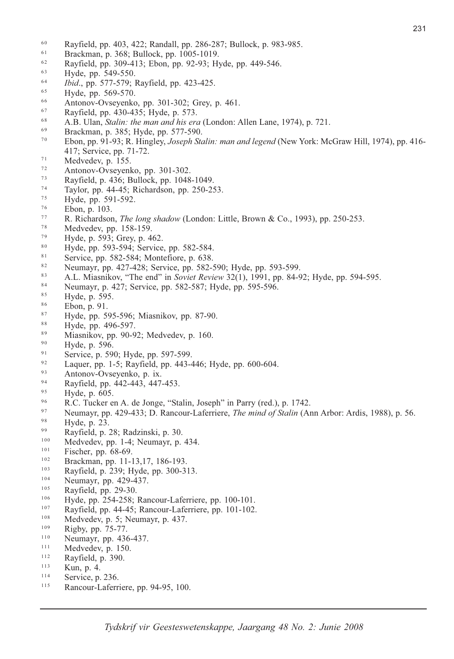- 60 <sup>60</sup> Rayfield, pp. 403, 422; Randall, pp. 286-287; Bullock, p. 983-985.<br><sup>61</sup> Brackman, p. 368; Bullock, pp. 1005-1019.
- $^{61}$  Brackman, p. 368; Bullock, pp. 1005-1019.
- <sup>62</sup> Rayfield, pp. 309-413; Ebon, pp. 92-93; Hyde, pp. 449-546.<br><sup>63</sup> Hyde, pp. 549-550.
- 
- <sup>63</sup> Hyde, pp. 549-550.<br><sup>64</sup> *Ibid.*, pp. 577-579; Rayfie <sup>64</sup> *Ibid.*, pp. 577-579; Rayfield, pp. 423-425.<br><sup>65</sup> Hyde, pp. 569-570.
- 
- <sup>65</sup> Hyde, pp. 569-570.<br>
<sup>66</sup> Antonov-Ovseyenko, pp. 301-302; Grey, p. 461.<br>
<sup>67</sup> Rayfield, pp. 430-435; Hyde, p. 573.
- Rayfield, pp. 430-435; Hyde, p. 573.
- <sup>67</sup> Rayfield, pp. 430-435; Hyde, p. 573.<br>
<sup>68</sup> A.B. Ulan, *Stalin: the man and his era* (London: Allen Lane, 1974), p. 721.<br>
<sup>69</sup> Brackman, p. 385; Hyde, pp. 577-590.
- $^{69}$  Brackman, p. 385; Hyde, pp. 577-590.
- <sup>0</sup> Ebon, pp. 91-93; R. Hingley, *Joseph Stalin: man and legend* (New York: McGraw Hill, 1974), pp. 416-417; Service, pp. 71-72.<br>
Medvedev, p. 155.
- $^{71}$  Medvedev, p. 155.
- 
- <sup>72</sup> Antonov-Ovseyenko, pp. 301-302.<br><sup>73</sup> Rayfield, p. 436; Bullock, pp. 1048 Rayfield, p. 436; Bullock, pp. 1048-1049.
- 73 Rayfield, p. 436; Bullock, pp. 1048-1049.<br>
Taylor, pp. 44-45; Richardson, pp. 250-253.<br>
Hyde, pp. 591-592.<br>
Ebon, p. 103.
- 
- 
- <sup>75</sup> Hyde, pp. 591-592.<br>
<sup>76</sup> Ebon, p. 103.<br>
<sup>77</sup> R. Richardson, *The*<br>
<sup>78</sup> Meduedou np. 158. <sup>77</sup> R. Richardson, *The long shadow* (London: Little, Brown & Co., 1993), pp. 250-253.<br><sup>78</sup> Medvedev, pp. 158-159.
- dvede
- <sup>78</sup> Medvedev, pp. 158-159.<br>
<sup>79</sup> Hyde, p. 593; Grey, p. 462.<br>
<sup>80</sup> Hyde, pp. 502, 504; Service
- $^{\circ}$  Hyde, pp. 593-594; Service
- <sup>80</sup> Hyde, pp. 593-594; Service, pp. 582-584.<br>Service, pp. 582-584; Montefiore, p. 638.<br><sup>82</sup> Noumeur nn 427-428; Service, pp. 582.
- <sup>2</sup> Neumayr, pp. 427-428; Service, pp. 582-590; Hyde
- Neumayr, pp. 427-428; Service, pp. 582-590; Hyde, pp. 593-599.<br> **A.L. Miasnikov, "The end" in** *Soviet Review* 32(1), 1991, pp. 84-92; Hyde, pp. 594-595.<br>
<sup>84</sup> Neumayr, p. 427; Service, pp. 582-587; Hyde, pp. 595-596.
- <sup>84</sup> Neumayr, p. 427; Service, pp. 582-587; Hyde, pp. 595-596.<br><sup>85</sup> Hyde, p. 595.
- 
- 
- <sup>85</sup> Hyde, p. 595.<br>
<sup>86</sup> Ebon, p. 91.<br>
<sup>87</sup> Hyde, pp. 595<sup>8</sup> <sup>87</sup> Hyde, pp. 595-596; Miasnikov, pp. 87-90.<br><sup>88</sup> Hyde, pp. 496-597.
- 
- <sup>88</sup> Hyde, pp. 496-597.<br><sup>89</sup> Miasnikov, pp. 90-92; Medvedev, p. 160.<br><sup>90</sup> Hyde p. 506.
- $\frac{90}{91}$  Hyde, p. 596.
- <sup>90</sup> Hyde, p. 596.<br>Service, p. 590; Hyde, pp. 597-599.<br><sup>92</sup> Lesus **nn** 1.5: Beyfield, pp. 442.
- <sup>92</sup> Laquer, pp. 1-5; Rayfield, pp. 443-446; Hyde, pp. 600-604.<br>Antonov-Ovseyenko, p. ix.
- Antonov-Ovseyenko, p. ix.
- <sup>93</sup> Antonov-Ovseyenko, p. ix.<br>Rayfield, pp. 442-443, 447 <sup>94</sup> Rayfield, pp. 442-443, 447-453.<br><sup>95</sup> Hyde, p. 605.
- 
- <sup>95</sup> Hyde, p. 605.<br><sup>96</sup> R.C. Tucker en A. de Jonge, "Stalin, Joseph" in Parry (re
- R.C. Tucker en A. de Jonge, "Stalin, Joseph" in Parry (red.), p. 1742.<br>
Neumayr, pp. 429-433; D. Rancour-Laferriere, *The mind of Stalin* (Ann Arbor: Ardis, 1988), p. 56.<br> *Hyde, p. 23.*
- $\frac{98}{99}$  Hyde, p. 23.
- Rayfield, p. 28; Radzinski, p. 30.
- 100 <sup>100</sup> Medvedev, pp. 1-4; Neumayr, p. 434.
- $^{101}$  Fischer, pp. 68-69.
- 102 <sup>102</sup> Brackman, pp. 11-13,17, 186-193.<br><sup>103</sup> Payfield n 230; Hyde nn 300.3
- $\frac{103}{104}$  Rayfield, p. 239; Hyde, pp. 300-313.
- $\frac{104}{105}$  Neumayr, pp. 429-437.
- $\frac{105}{106}$  Rayfield, pp. 29-30.
- $\frac{106}{107}$  Hyde, pp. 254-258; Rancour-Laferriere, pp. 100-101.
- $\frac{107}{108}$  Rayfield, pp. 44-45; Rancour-Laferriere, pp. 101-102.
- <sup>108</sup> Medvedev, p. 5; Neumayr, p. 437.
- $\frac{109}{110}$  Rigby, pp. 75-77.
- <sup>110</sup> Neumayr, pp. 436-437.<br>
<sup>111</sup> Medvedev, p. 150.
- $^{111}$  Medvedev, p. 150.
- <sup>112</sup> Rayfield, p. 390.<br>
<sup>113</sup> Kun, p. 4.<br>
<sup>114</sup> Service, p. 236.
- 
- Service, p. 236.
- <sup>114</sup> Service, p. 236.<br>Rancour-Laferriere, pp. 94-95, 100.